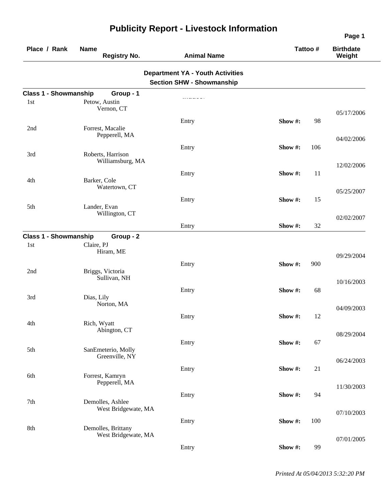| Place / Rank                 | <b>Name</b><br><b>Registry No.</b>        | <b>Animal Name</b>                                                          | Tattoo # |     | <b>Birthdate</b><br>Weight |
|------------------------------|-------------------------------------------|-----------------------------------------------------------------------------|----------|-----|----------------------------|
|                              |                                           | <b>Department YA - Youth Activities</b><br><b>Section SHW - Showmanship</b> |          |     |                            |
| <b>Class 1 - Showmanship</b> | Group - 1                                 |                                                                             |          |     |                            |
| 1st                          | Petow, Austin                             |                                                                             |          |     |                            |
|                              | Vernon, CT                                |                                                                             |          |     | 05/17/2006                 |
|                              |                                           | Entry                                                                       | Show #:  | 98  |                            |
| 2nd                          | Forrest, Macalie<br>Pepperell, MA         |                                                                             |          |     |                            |
|                              |                                           |                                                                             |          |     | 04/02/2006                 |
| 3rd                          | Roberts, Harrison                         | Entry                                                                       | Show#:   | 106 |                            |
|                              | Williamsburg, MA                          |                                                                             |          |     |                            |
|                              |                                           | Entry                                                                       | Show#:   | 11  | 12/02/2006                 |
| 4th                          | Barker, Cole                              |                                                                             |          |     |                            |
|                              | Watertown, CT                             |                                                                             |          |     | 05/25/2007                 |
|                              |                                           | Entry                                                                       | Show#:   | 15  |                            |
| 5th                          | Lander, Evan                              |                                                                             |          |     |                            |
|                              | Willington, CT                            |                                                                             |          |     | 02/02/2007                 |
|                              |                                           | Entry                                                                       | Show#:   | 32  |                            |
| <b>Class 1 - Showmanship</b> | Group - 2                                 |                                                                             |          |     |                            |
| 1st                          | Claire, PJ                                |                                                                             |          |     |                            |
|                              | Hiram, ME                                 |                                                                             |          |     | 09/29/2004                 |
|                              |                                           | Entry                                                                       | Show#:   | 900 |                            |
| 2nd                          | Briggs, Victoria                          |                                                                             |          |     |                            |
|                              | Sullivan, NH                              |                                                                             |          |     | 10/16/2003                 |
|                              |                                           | Entry                                                                       | Show #:  | 68  |                            |
| 3rd                          | Dias, Lily<br>Norton, MA                  |                                                                             |          |     |                            |
|                              |                                           |                                                                             |          |     | 04/09/2003                 |
| 4th                          | Rich, Wyatt                               | Entry                                                                       | Show#:   | 12  |                            |
|                              | Abington, CT                              |                                                                             |          |     |                            |
|                              |                                           |                                                                             | Show#:   | 67  | 08/29/2004                 |
| 5th                          | SanEmeterio, Molly                        | Entry                                                                       |          |     |                            |
|                              | Greenville, NY                            |                                                                             |          |     | 06/24/2003                 |
|                              |                                           | Entry                                                                       | Show #:  | 21  |                            |
| 6th                          | Forrest, Kamryn                           |                                                                             |          |     |                            |
|                              | Pepperell, MA                             |                                                                             |          |     | 11/30/2003                 |
|                              |                                           | Entry                                                                       | Show#:   | 94  |                            |
| 7th                          | Demolles, Ashlee                          |                                                                             |          |     |                            |
|                              | West Bridgewate, MA                       |                                                                             |          |     | 07/10/2003                 |
|                              |                                           | Entry                                                                       | Show #:  | 100 |                            |
| 8th                          | Demolles, Brittany<br>West Bridgewate, MA |                                                                             |          |     |                            |
|                              |                                           |                                                                             |          |     | 07/01/2005                 |
|                              |                                           | Entry                                                                       | Show#:   | 99  |                            |

*Printed At 05/04/2013 5:32:20 PM*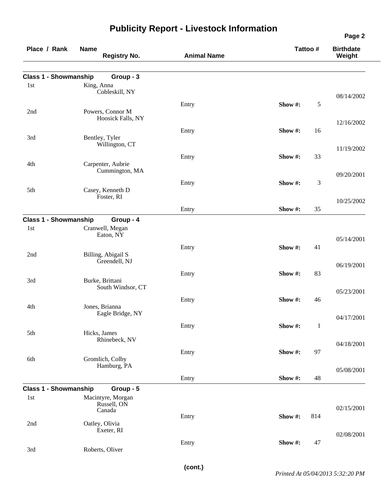| Place / Rank                 | <b>Name</b><br><b>Registry No.</b>  | <b>Animal Name</b> | Tattoo #       | <b>Birthdate</b><br>Weight |
|------------------------------|-------------------------------------|--------------------|----------------|----------------------------|
| <b>Class 1 - Showmanship</b> | Group - 3                           |                    |                |                            |
| 1st                          | King, Anna                          |                    |                |                            |
|                              | Cobleskill, NY                      |                    |                | 08/14/2002                 |
|                              |                                     | Entry              | Show#:         | 5                          |
| 2nd                          | Powers, Connor M                    |                    |                |                            |
|                              | Hoosick Falls, NY                   |                    |                | 12/16/2002                 |
|                              |                                     | Entry              | 16<br>Show #:  |                            |
| 3rd                          | Bentley, Tyler                      |                    |                |                            |
|                              | Willington, CT                      |                    |                | 11/19/2002                 |
|                              |                                     | Entry              | Show#:<br>33   |                            |
| 4th                          | Carpenter, Aubrie<br>Cummington, MA |                    |                |                            |
|                              |                                     |                    |                | 09/20/2001                 |
|                              |                                     | Entry              | Show #:        | 3                          |
| 5th                          | Casey, Kenneth D<br>Foster, RI      |                    |                |                            |
|                              |                                     |                    |                | 10/25/2002                 |
|                              |                                     | Entry              | 35<br>Show #:  |                            |
| <b>Class 1 - Showmanship</b> | Group - 4                           |                    |                |                            |
| 1st                          | Cranwell, Megan<br>Eaton, NY        |                    |                | 05/14/2001                 |
|                              |                                     | Entry              | 41<br>Show #:  |                            |
| 2nd                          | Billing, Abigail S                  |                    |                |                            |
|                              | Greendell, NJ                       |                    |                | 06/19/2001                 |
|                              |                                     | Entry              | Show#:<br>83   |                            |
| 3rd                          | Burke, Brittani                     |                    |                |                            |
|                              | South Windsor, CT                   |                    |                | 05/23/2001                 |
|                              |                                     | Entry              | Show#:<br>46   |                            |
| 4th                          | Jones, Brianna                      |                    |                |                            |
|                              | Eagle Bridge, NY                    |                    |                | 04/17/2001                 |
|                              |                                     | Entry              | Show#:         | $\mathbf{1}$               |
| 5th                          | Hicks, James                        |                    |                |                            |
|                              | Rhinebeck, NV                       |                    |                | 04/18/2001                 |
|                              |                                     | Entry              | Show#:<br>97   |                            |
| 6th                          | Gromlich, Colby<br>Hamburg, PA      |                    |                |                            |
|                              |                                     |                    |                | 05/08/2001                 |
|                              |                                     | Entry              | 48<br>Show #:  |                            |
| <b>Class 1 - Showmanship</b> | Group - 5                           |                    |                |                            |
| 1st                          | Macintyre, Morgan                   |                    |                |                            |
|                              | Russell, ON<br>Canada               |                    |                | 02/15/2001                 |
|                              |                                     | Entry              | 814<br>Show #: |                            |
| 2nd                          | Oatley, Olivia                      |                    |                |                            |
|                              | Exeter, RI                          |                    |                | 02/08/2001                 |
|                              |                                     | Entry              | Show #:<br>47  |                            |
| 3rd                          | Roberts, Oliver                     |                    |                |                            |

**(cont.)**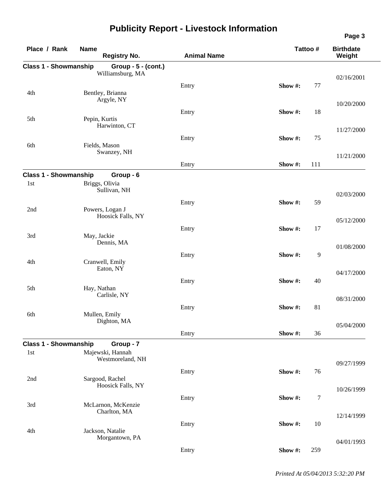| Place / Rank                 | <b>Name</b><br><b>Registry No.</b> | <b>Animal Name</b> | Tattoo # |     | <b>Birthdate</b><br>Weight |
|------------------------------|------------------------------------|--------------------|----------|-----|----------------------------|
| <b>Class 1 - Showmanship</b> | Group - 5 - (cont.)                |                    |          |     |                            |
|                              | Williamsburg, MA                   |                    |          |     | 02/16/2001                 |
|                              |                                    | Entry              | Show #:  | 77  |                            |
| 4th                          | Bentley, Brianna                   |                    |          |     |                            |
|                              | Argyle, NY                         |                    |          |     | 10/20/2000                 |
|                              |                                    | Entry              | Show #:  | 18  |                            |
| 5th                          | Pepin, Kurtis                      |                    |          |     |                            |
|                              | Harwinton, CT                      |                    |          |     | 11/27/2000                 |
|                              |                                    | Entry              | Show#:   | 75  |                            |
| 6th                          | Fields, Mason<br>Swanzey, NH       |                    |          |     |                            |
|                              |                                    |                    |          |     | 11/21/2000                 |
|                              |                                    | Entry              | Show #:  | 111 |                            |
| <b>Class 1 - Showmanship</b> | Group - 6                          |                    |          |     |                            |
| 1st                          | Briggs, Olivia                     |                    |          |     |                            |
|                              | Sullivan, NH                       |                    |          |     | 02/03/2000                 |
|                              |                                    | Entry              | Show#:   | 59  |                            |
| 2nd                          | Powers, Logan J                    |                    |          |     |                            |
|                              | Hoosick Falls, NY                  |                    |          |     | 05/12/2000                 |
|                              |                                    | Entry              | Show #:  | 17  |                            |
| 3rd                          | May, Jackie                        |                    |          |     |                            |
|                              | Dennis, MA                         |                    |          |     | 01/08/2000                 |
|                              |                                    | Entry              | Show#:   | 9   |                            |
| 4th                          | Cranwell, Emily                    |                    |          |     |                            |
|                              | Eaton, NY                          |                    |          |     | 04/17/2000                 |
|                              |                                    | Entry              | Show #:  | 40  |                            |
| 5th                          | Hay, Nathan<br>Carlisle, NY        |                    |          |     |                            |
|                              |                                    |                    |          |     | 08/31/2000                 |
|                              |                                    | Entry              | Show#:   | 81  |                            |
| 6th                          | Mullen, Emily<br>Dighton, MA       |                    |          |     |                            |
|                              |                                    |                    |          |     | 05/04/2000                 |
|                              |                                    | Entry              | Show #:  | 36  |                            |
| <b>Class 1 - Showmanship</b> | Group - 7                          |                    |          |     |                            |
| 1st                          | Majewski, Hannah                   |                    |          |     |                            |
|                              | Westmoreland, NH                   |                    |          |     | 09/27/1999                 |
|                              |                                    | Entry              | Show #:  | 76  |                            |
| 2nd                          | Sargood, Rachel                    |                    |          |     |                            |
|                              | Hoosick Falls, NY                  |                    |          |     | 10/26/1999                 |
|                              |                                    | Entry              | Show#:   | 7   |                            |
| 3rd                          | McLarnon, McKenzie<br>Charlton, MA |                    |          |     |                            |
|                              |                                    |                    |          |     | 12/14/1999                 |
|                              |                                    | Entry              | Show #:  | 10  |                            |
| 4th                          | Jackson, Natalie<br>Morgantown, PA |                    |          |     |                            |
|                              |                                    |                    |          |     | 04/01/1993                 |
|                              |                                    | Entry              | Show #:  | 259 |                            |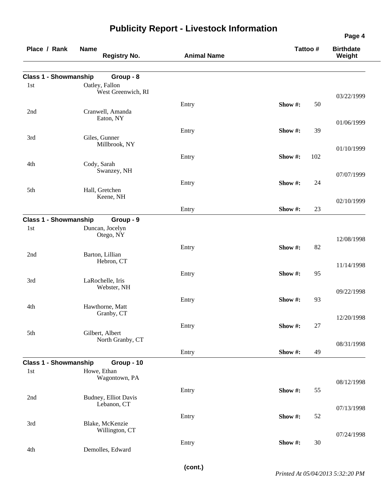| Place / Rank                 | <b>Name</b><br><b>Registry No.</b>   | <b>Animal Name</b> | Tattoo #       | <b>Birthdate</b><br>Weight |
|------------------------------|--------------------------------------|--------------------|----------------|----------------------------|
| <b>Class 1 - Showmanship</b> | Group - 8                            |                    |                |                            |
| 1st                          | Oatley, Fallon<br>West Greenwich, RI |                    |                | 03/22/1999                 |
| 2nd                          | Cranwell, Amanda<br>Eaton, NY        | Entry              | Show#:<br>50   |                            |
|                              |                                      | Entry              | 39<br>Show #:  | 01/06/1999                 |
| 3rd                          | Giles, Gunner<br>Millbrook, NY       |                    |                | 01/10/1999                 |
| 4th                          | Cody, Sarah                          | Entry              | Show #:<br>102 |                            |
|                              | Swanzey, NH                          | Entry              | Show#:<br>24   | 07/07/1999                 |
| 5th                          | Hall, Gretchen<br>Keene, NH          |                    |                | 02/10/1999                 |
|                              |                                      | Entry              | 23<br>Show #:  |                            |
| <b>Class 1 - Showmanship</b> | Group - 9                            |                    |                |                            |
| 1st                          | Duncan, Jocelyn<br>Otego, NY         |                    |                | 12/08/1998                 |
|                              |                                      | Entry              | Show#:<br>82   |                            |
| 2nd                          | Barton, Lillian<br>Hebron, CT        |                    |                | 11/14/1998                 |
| 3rd                          | LaRochelle, Iris<br>Webster, NH      | Entry              | Show #:<br>95  |                            |
|                              |                                      |                    | Show#:<br>93   | 09/22/1998                 |
| 4th                          | Hawthorne, Matt<br>Granby, CT        | Entry              |                |                            |
|                              |                                      | Entry              | Show #:<br>27  | 12/20/1998                 |
| 5th                          | Gilbert, Albert<br>North Granby, CT  |                    |                | 08/31/1998                 |
|                              |                                      | Entry              | Show #:<br>49  |                            |
| <b>Class 1 - Showmanship</b> | Group - 10                           |                    |                |                            |
| 1st                          | Howe, Ethan<br>Wagontown, PA         |                    |                | 08/12/1998                 |
| 2nd                          | Budney, Elliot Davis                 | Entry              | Show #:<br>55  |                            |
|                              | Lebanon, CT                          |                    |                | 07/13/1998                 |
| 3rd                          | Blake, McKenzie<br>Willington, CT    | Entry              | Show#:<br>52   |                            |
|                              |                                      | Entry              | Show #:<br>30  | 07/24/1998                 |
| 4th                          | Demolles, Edward                     |                    |                |                            |

**(cont.)**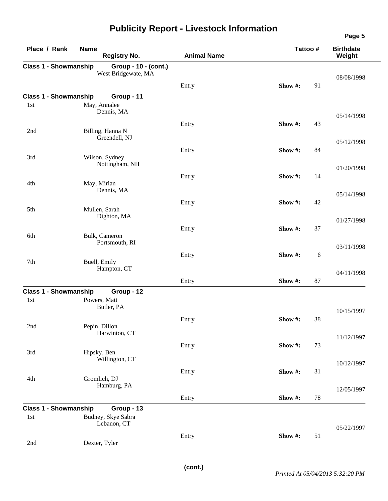| Place / Rank                        | <b>Name</b><br><b>Registry No.</b>          | <b>Animal Name</b> | Tattoo #      | <b>Birthdate</b><br>Weight |
|-------------------------------------|---------------------------------------------|--------------------|---------------|----------------------------|
| <b>Class 1 - Showmanship</b>        | Group - 10 - (cont.)<br>West Bridgewate, MA |                    |               | 08/08/1998                 |
|                                     |                                             | Entry              | 91<br>Show#:  |                            |
| <b>Class 1 - Showmanship</b><br>1st | Group - 11<br>May, Annalee<br>Dennis, MA    |                    |               |                            |
|                                     |                                             | Entry              | Show#:<br>43  | 05/14/1998                 |
| 2nd                                 | Billing, Hanna N<br>Greendell, NJ           |                    |               | 05/12/1998                 |
| 3rd                                 | Wilson, Sydney<br>Nottingham, NH            | Entry              | Show #:<br>84 |                            |
| 4th                                 | May, Mirian                                 | Entry              | Show #:<br>14 | 01/20/1998                 |
|                                     | Dennis, MA                                  | Entry              | Show#:<br>42  | 05/14/1998                 |
| 5th                                 | Mullen, Sarah<br>Dighton, MA                |                    |               | 01/27/1998                 |
| 6th                                 | Bulk, Cameron<br>Portsmouth, RI             | Entry              | Show #:<br>37 |                            |
| 7th                                 | Buell, Emily                                | Entry              | 6<br>Show #:  | 03/11/1998                 |
|                                     | Hampton, CT                                 | Entry              | 87<br>Show #: | 04/11/1998                 |
| <b>Class 1 - Showmanship</b>        | Group - 12                                  |                    |               |                            |
| 1st                                 | Powers, Matt<br>Butler, PA                  |                    |               | 10/15/1997                 |
| 2nd                                 | Pepin, Dillon<br>Harwinton, CT              | Entry              | Show#:<br>38  |                            |
| 3rd                                 | Hipsky, Ben                                 | Entry              | Show#:<br>73  | 11/12/1997                 |
|                                     | Willington, CT                              | Entry              | 31<br>Show#:  | 10/12/1997                 |
| 4th                                 | Gromlich, DJ<br>Hamburg, PA                 |                    |               | 12/05/1997                 |
|                                     |                                             | Entry              | Show #:<br>78 |                            |
| <b>Class 1 - Showmanship</b>        | Group - 13                                  |                    |               |                            |
| 1st                                 | Budney, Skye Sabra<br>Lebanon, CT           |                    |               | 05/22/1997                 |
| 2nd                                 | Dexter, Tyler                               | Entry              | Show #:<br>51 |                            |

**Page 5**

 $\overline{\phantom{0}}$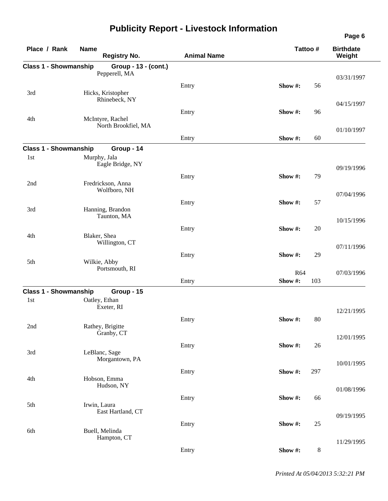| Place / Rank                 | <b>Name</b><br><b>Registry No.</b> | <b>Animal Name</b> | Tattoo #          | <b>Birthdate</b><br>Weight |  |
|------------------------------|------------------------------------|--------------------|-------------------|----------------------------|--|
| <b>Class 1 - Showmanship</b> | Group - 13 - (cont.)               |                    |                   |                            |  |
|                              | Pepperell, MA                      |                    |                   | 03/31/1997                 |  |
|                              |                                    | Entry              | Show#:<br>56      |                            |  |
| 3rd                          | Hicks, Kristopher<br>Rhinebeck, NY |                    |                   |                            |  |
|                              |                                    |                    |                   | 04/15/1997                 |  |
| 4th                          | McIntyre, Rachel                   | Entry              | Show #:<br>96     |                            |  |
|                              | North Brookfiel, MA                |                    |                   |                            |  |
|                              |                                    | Entry              | 60<br>Show #:     | 01/10/1997                 |  |
| <b>Class 1 - Showmanship</b> | Group - 14                         |                    |                   |                            |  |
| 1st                          | Murphy, Jala                       |                    |                   |                            |  |
|                              | Eagle Bridge, NY                   |                    |                   | 09/19/1996                 |  |
|                              |                                    | Entry              | Show #:<br>79     |                            |  |
| 2nd                          | Fredrickson, Anna                  |                    |                   |                            |  |
|                              | Wolfboro, NH                       |                    |                   | 07/04/1996                 |  |
|                              |                                    | Entry              | 57<br>Show #:     |                            |  |
| 3rd                          | Hanning, Brandon                   |                    |                   |                            |  |
|                              | Taunton, MA                        |                    |                   | 10/15/1996                 |  |
| 4th                          |                                    | Entry              | Show #:<br>20     |                            |  |
|                              | Blaker, Shea<br>Willington, CT     |                    |                   |                            |  |
|                              |                                    |                    | 29<br>Show #:     | 07/11/1996                 |  |
| 5th                          | Wilkie, Abby                       | Entry              |                   |                            |  |
|                              | Portsmouth, RI                     |                    | R64               | 07/03/1996                 |  |
|                              |                                    | Entry              | Show#:<br>103     |                            |  |
| <b>Class 1 - Showmanship</b> | Group - 15                         |                    |                   |                            |  |
| 1st                          | Oatley, Ethan                      |                    |                   |                            |  |
|                              | Exeter, RI                         |                    |                   | 12/21/1995                 |  |
|                              |                                    | Entry              | Show #:<br>$80\,$ |                            |  |
| 2nd                          | Rathey, Brigitte                   |                    |                   |                            |  |
|                              | Granby, CT                         |                    |                   | 12/01/1995                 |  |
|                              |                                    | Entry              | 26<br>Show #:     |                            |  |
| 3rd                          | LeBlanc, Sage<br>Morgantown, PA    |                    |                   |                            |  |
|                              |                                    |                    |                   | 10/01/1995                 |  |
| 4th                          | Hobson, Emma                       | Entry              | 297<br>Show #:    |                            |  |
|                              | Hudson, NY                         |                    |                   | 01/08/1996                 |  |
|                              |                                    | Entry              | Show #:<br>66     |                            |  |
| 5th                          | Irwin, Laura                       |                    |                   |                            |  |
|                              | East Hartland, CT                  |                    |                   | 09/19/1995                 |  |
|                              |                                    | Entry              | Show #:<br>25     |                            |  |
| 6th                          | Buell, Melinda<br>Hampton, CT      |                    |                   |                            |  |
|                              |                                    |                    |                   | 11/29/1995                 |  |
|                              |                                    | Entry              | $8\,$<br>Show #:  |                            |  |

*Printed At 05/04/2013 5:32:21 PM*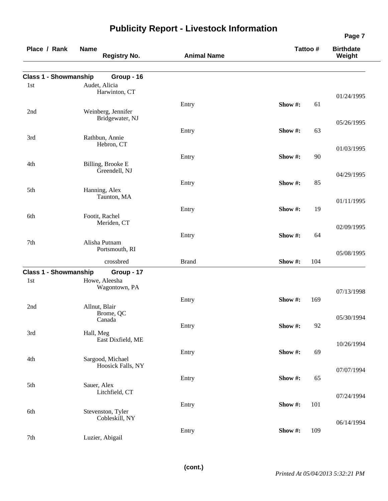| Place / Rank                 | <b>Name</b><br><b>Registry No.</b>    | <b>Animal Name</b> | Tattoo #       | <b>Birthdate</b><br>Weight |
|------------------------------|---------------------------------------|--------------------|----------------|----------------------------|
| <b>Class 1 - Showmanship</b> | Group - 16                            |                    |                |                            |
| 1st                          | Audet, Alicia<br>Harwinton, CT        |                    |                |                            |
|                              |                                       | Entry              | Show #:<br>61  | 01/24/1995                 |
| 2nd                          | Weinberg, Jennifer<br>Bridgewater, NJ |                    |                | 05/26/1995                 |
|                              |                                       | Entry              | Show#:<br>63   |                            |
| 3rd                          | Rathbun, Annie<br>Hebron, CT          |                    |                | 01/03/1995                 |
|                              |                                       | Entry              | Show #:<br>90  |                            |
| 4th                          | Billing, Brooke E<br>Greendell, NJ    |                    |                | 04/29/1995                 |
|                              |                                       | Entry              | Show #:<br>85  |                            |
| 5th                          | Hanning, Alex<br>Taunton, MA          |                    |                | 01/11/1995                 |
|                              |                                       | Entry              | Show#:<br>19   |                            |
| 6th                          | Footit, Rachel<br>Meriden, CT         |                    |                |                            |
|                              |                                       | Entry              | Show #:<br>64  | 02/09/1995                 |
| 7th                          | Alisha Putnam<br>Portsmouth, RI       |                    |                |                            |
|                              | crossbred                             | <b>Brand</b>       | 104<br>Show #: | 05/08/1995                 |
| <b>Class 1 - Showmanship</b> | Group - 17                            |                    |                |                            |
| 1st                          | Howe, Aleesha<br>Wagontown, PA        |                    |                |                            |
|                              |                                       | Entry              | Show#:<br>169  | 07/13/1998                 |
| 2nd                          | Allnut, Blair<br>Brome, QC            |                    |                |                            |
|                              | Canada                                | Entry              | Show #:<br>92  | 05/30/1994                 |
| 3rd                          | Hall, Meg                             |                    |                |                            |
|                              | East Dixfield, ME                     |                    |                | 10/26/1994                 |
| 4th                          | Sargood, Michael                      | Entry              | Show#:<br>69   |                            |
|                              | Hoosick Falls, NY                     |                    |                | 07/07/1994                 |
|                              |                                       | Entry              | Show#:<br>65   |                            |
| 5th                          | Sauer, Alex<br>Litchfield, CT         |                    |                |                            |
|                              |                                       | Entry              | 101<br>Show #: | 07/24/1994                 |
| 6th                          | Stevenston, Tyler<br>Cobleskill, NY   |                    |                |                            |
|                              |                                       | Entry              | Show #:<br>109 | 06/14/1994                 |
| 7th                          | Luzier, Abigail                       |                    |                |                            |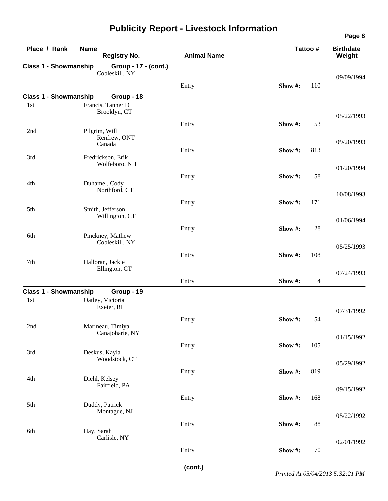| Place / Rank                 | <b>Name</b><br><b>Registry No.</b>     | <b>Animal Name</b> | Tattoo #       | <b>Birthdate</b><br>Weight   |
|------------------------------|----------------------------------------|--------------------|----------------|------------------------------|
| <b>Class 1 - Showmanship</b> | Group - 17 - (cont.)<br>Cobleskill, NY |                    |                | 09/09/1994                   |
|                              |                                        | Entry              | 110<br>Show #: |                              |
| <b>Class 1 - Showmanship</b> | Group - 18                             |                    |                |                              |
| 1st                          | Francis, Tanner D<br>Brooklyn, CT      |                    |                | 05/22/1993                   |
| 2nd                          | Pilgrim, Will<br>Renfrew, ONT          | Entry              | Show #:        | 53                           |
|                              | Canada                                 |                    |                | 09/20/1993                   |
| 3rd                          | Fredrickson, Erik<br>Wolfeboro, NH     | Entry              | Show #:<br>813 | 01/20/1994                   |
| 4th                          | Duhamel, Cody                          | Entry              | Show #:        | 58                           |
|                              | Northford, CT                          |                    |                | 10/08/1993                   |
| 5th                          | Smith, Jefferson<br>Willington, CT     | Entry              | 171<br>Show #: |                              |
| 6th                          | Pinckney, Mathew                       | Entry              | Show #:        | 01/06/1994<br>28             |
|                              | Cobleskill, NY                         |                    |                | 05/25/1993                   |
| 7th                          | Halloran, Jackie                       | Entry              | Show #:        | 108                          |
|                              | Ellington, CT                          | Entry              | Show #:        | 07/24/1993<br>$\overline{4}$ |
| <b>Class 1 - Showmanship</b> | Group - 19                             |                    |                |                              |
| 1st                          | Oatley, Victoria<br>Exeter, RI         |                    |                | 07/31/1992                   |
| 2nd                          | Marineau, Timiya                       | Entry              | Show #:        | 54                           |
|                              | Canajoharie, NY                        |                    |                | 01/15/1992                   |
| 3rd                          | Deskus, Kayla<br>Woodstock, CT         | Entry              | Show#:<br>105  |                              |
|                              |                                        | Entry              | 819<br>Show #: | 05/29/1992                   |
| 4th                          | Diehl, Kelsey<br>Fairfield, PA         |                    |                | 09/15/1992                   |
| 5th                          | Duddy, Patrick<br>Montague, NJ         | Entry              | Show#:         | 168                          |
| 6th                          | Hay, Sarah                             | Entry              | Show#:         | 05/22/1992<br>88             |
|                              | Carlisle, NY                           | Entry              | Show#:         | 02/01/1992<br>70             |
|                              |                                        |                    |                |                              |

**(cont.)**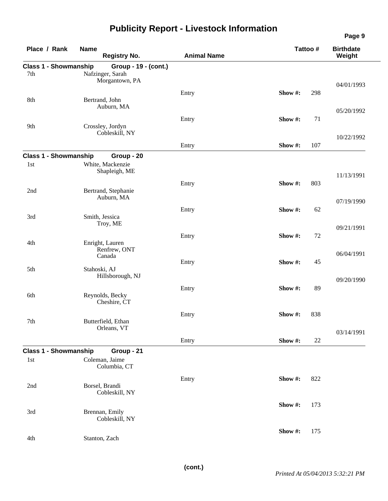|                                     |                                    |                    |                | Page 9                     |
|-------------------------------------|------------------------------------|--------------------|----------------|----------------------------|
| Place / Rank                        | <b>Name</b><br><b>Registry No.</b> | <b>Animal Name</b> | Tattoo #       | <b>Birthdate</b><br>Weight |
| <b>Class 1 - Showmanship</b>        | Group - 19 - (cont.)               |                    |                |                            |
| 7th                                 | Nafzinger, Sarah<br>Morgantown, PA |                    |                |                            |
|                                     |                                    |                    |                | 04/01/1993                 |
| 8th                                 | Bertrand, John                     | Entry              | Show #:<br>298 |                            |
|                                     | Auburn, MA                         |                    |                |                            |
|                                     |                                    | Entry              | Show #:<br>71  | 05/20/1992                 |
| 9th                                 | Crossley, Jordyn                   |                    |                |                            |
|                                     | Cobleskill, NY                     |                    |                | 10/22/1992                 |
|                                     |                                    | Entry              | 107<br>Show #: |                            |
| <b>Class 1 - Showmanship</b>        | Group - 20                         |                    |                |                            |
| 1st                                 | White, Mackenzie                   |                    |                |                            |
|                                     | Shapleigh, ME                      |                    |                | 11/13/1991                 |
|                                     |                                    | Entry              | 803<br>Show #: |                            |
| 2nd                                 | Bertrand, Stephanie                |                    |                |                            |
|                                     | Auburn, MA                         |                    |                | 07/19/1990                 |
|                                     |                                    | Entry              | Show#:<br>62   |                            |
| 3rd                                 | Smith, Jessica<br>Troy, ME         |                    |                |                            |
|                                     |                                    |                    |                | 09/21/1991                 |
| 4th                                 | Enright, Lauren                    | Entry              | 72<br>Show#:   |                            |
|                                     | Renfrew, ONT                       |                    |                | 06/04/1991                 |
|                                     | Canada                             | Entry              | Show#:<br>45   |                            |
| 5th                                 | Stahoski, AJ                       |                    |                |                            |
|                                     | Hillsborough, NJ                   |                    |                | 09/20/1990                 |
|                                     |                                    | Entry              | Show #:<br>89  |                            |
| 6th                                 | Reynolds, Becky                    |                    |                |                            |
|                                     | Cheshire, CT                       |                    |                |                            |
| 7th                                 | Butterfield, Ethan                 | Entry              | 838<br>Show #: |                            |
|                                     | Orleans, VT                        |                    |                |                            |
|                                     |                                    | Entry              | Show #:<br>22  | 03/14/1991                 |
|                                     |                                    |                    |                |                            |
| <b>Class 1 - Showmanship</b><br>1st | Group - 21<br>Coleman, Jaime       |                    |                |                            |
|                                     | Columbia, CT                       |                    |                |                            |
|                                     |                                    | Entry              | Show#:<br>822  |                            |
| 2nd                                 | Borsel, Brandi                     |                    |                |                            |
|                                     | Cobleskill, NY                     |                    |                |                            |
|                                     |                                    |                    | Show #:<br>173 |                            |
| 3rd                                 | Brennan, Emily                     |                    |                |                            |
|                                     | Cobleskill, NY                     |                    |                |                            |
|                                     |                                    |                    | Show #:<br>175 |                            |
| 4th                                 | Stanton, Zach                      |                    |                |                            |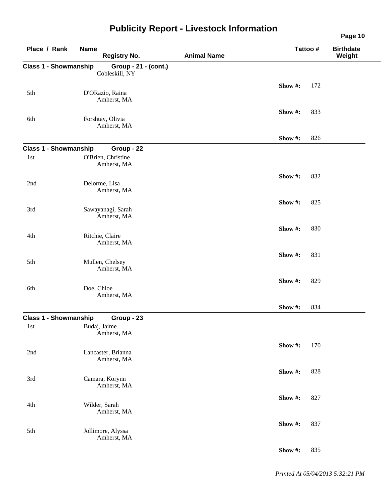|                                     | ייש <i>נייש</i> יי |                                                 |                    |          | Page 10                    |
|-------------------------------------|--------------------|-------------------------------------------------|--------------------|----------|----------------------------|
| Place / Rank                        | <b>Name</b>        | <b>Registry No.</b>                             | <b>Animal Name</b> | Tattoo # | <b>Birthdate</b><br>Weight |
| <b>Class 1 - Showmanship</b>        |                    | Group - 21 - (cont.)<br>Cobleskill, NY          |                    |          |                            |
| 5th                                 |                    | D'ORazio, Raina                                 |                    | Show#:   | 172                        |
|                                     |                    | Amherst, MA                                     |                    | Show #:  | 833                        |
| 6th                                 |                    | Forshtay, Olivia<br>Amherst, MA                 |                    |          |                            |
|                                     |                    |                                                 |                    | Show#:   | 826                        |
| <b>Class 1 - Showmanship</b><br>1st |                    | Group - 22<br>O'Brien, Christine<br>Amherst, MA |                    |          |                            |
| 2nd                                 |                    | Delorme, Lisa                                   |                    | Show#:   | 832                        |
| 3rd                                 |                    | Amherst, MA<br>Sawayanagi, Sarah                |                    | Show #:  | 825                        |
|                                     |                    | Amherst, MA                                     |                    | Show#:   | 830                        |
| 4th                                 |                    | Ritchie, Claire<br>Amherst, MA                  |                    |          |                            |
| 5th                                 |                    | Mullen, Chelsey<br>Amherst, MA                  |                    | Show#:   | 831                        |
| 6th                                 | Doe, Chloe         |                                                 |                    | Show #:  | 829                        |
|                                     |                    | Amherst, MA                                     |                    | Show #:  | 834                        |
| <b>Class 1 - Showmanship</b>        |                    | Group - 23                                      |                    |          |                            |
| 1st                                 |                    | Budaj, Jaime<br>Amherst, MA                     |                    |          |                            |
| 2nd                                 |                    | Lancaster, Brianna<br>Amherst, MA               |                    | Show#:   | 170                        |
| 3rd                                 |                    | Camara, Korynn                                  |                    | Show #:  | 828                        |
|                                     |                    | Amherst, MA                                     |                    | Show #:  | 827                        |
| 4th                                 |                    | Wilder, Sarah<br>Amherst, MA                    |                    |          |                            |
| 5th                                 |                    | Jollimore, Alyssa<br>Amherst, MA                |                    | Show#:   | 837                        |
|                                     |                    |                                                 |                    | Show #:  | 835                        |